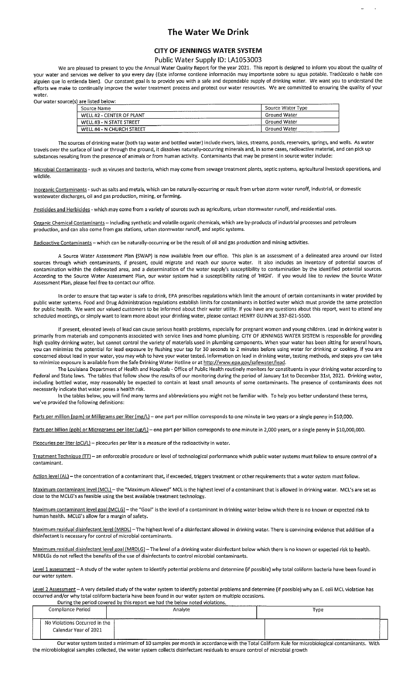## The Water We Drink

## CITY OF JENNINGS WATER SYSTEM

## Public Water Supply ID: LA1053003

We are pleased to present to you the Annual Water Quality Report for the year 2021. This report is designed to inform you about the quality of your water and services we deliver to you every day (Este informe contiene informaciân muy importante sobre su agua potable. Tradüzcalo o hable con alguien que lo entienda bien). Our constant goal is to provide you with <sup>a</sup> safe and dependable supply of drinking water. We want you to understand the efforts we make to continually improve the water treatment process and protect our water resources. We are committed to ensuring the quality of your water.

Our water source(s) are listed below:

| Source Name                                                  | Source Water Type |
|--------------------------------------------------------------|-------------------|
| WELL #2 - CENTER OF PLANT                                    | Ground Water      |
| WELL #3 - N STATE STREET                                     | Ground Water      |
| WELL #4 - N CHURCH STREET<br>------------------------------- | Ground Water      |

The sources of drinking water (both tap water and bottled water) include rivers, lakes, streams, ponds, reservoirs, springs, and wells. As water travels over the surface of land or through the ground, it dissolves naturally-occurring minerals and, in some cases, radioactive material, and can pick up substances resulting from the presence of animals or from human activity. Contaminants that may be present in source water include:

Microbial Contaminants - such as viruses and bacteria, which may come from sewage treatment plants, septic systems, agricultural livestock operations, and wildlife.

Inorganic Contaminants - such as salts and metals, which can be naturally-occurring or result from urban storm water runoff, industrial, or domestic wastewater discharges, oil and gas production, mining, or farming.

Pesticides and Herbicides - which may come from <sup>a</sup> variety of sources such as agriculture, urban stormwater runoff, and residential uses.

Organic Chemical Contaminants — including synthetic and volatile organic chemicals, which are by-products of industrial processes and petroleum production, and can also come from gas stations, urban stormwater runoff, and septic systems.

Radioactive Contaminants - which can be naturally-occurring or be the result of oil and gas production and mining activities.

A Source water Assessment Plan (SWAP) is now available from our office. This plan is an assessment of <sup>a</sup> delineated area around our listed sources through which contaminants, if present, could migrate and reach our source water, It also includes an inventory of potential sources of contamination within the delineated area, and <sup>a</sup> determination of the water supply's susceptibility to contamination by the identified potential sources. According to the Source Water Assessment Plan, our water system had <sup>a</sup> susceptibility rating of 'HIGH'. If you would like to review the Source Water Assessment Plan, please feel free to contact our office.

In order to ensure that tap water is safe to drink, EPA prescribes regulations which limit the amount of certain contaminants in water provided by public water systems. Food and Drug Administration regulations establish limits for contaminants in bottled water which must provide the same protection for public health. We want our valued customers to be informed about their water utility. If you have any questions about this report, want to attend any scheduled meetings, or simply want to learn more about your drinking water, please contact HENRY GUINN at 337-821-SSOO.

If present, elevated levels of lead can cause serious health problems, especially for pregnant women and young children. Lead in drinking water is primarily from materials and components associated with service lines and home plumbing. CITY OF JENNINGS WATER SYSTEM is responsible for providing high quality drinking water, but cannot control the variety of materials used in plumbing components. When your water has been sitting for several hours, you can minimize the potential for lead exposure by flushing your tap for 30 seconds to <sup>2</sup> minutes before using water for drinking or cooking. If you are concerned about lead in your water, you may wish to have your water tested, Information on lead in drinking water, testing methods, and steps you can take to minimize exposure is available from the Safe Drinking Water Hotline or at http://www.epa.gov/safewater/lead.

The Louisiana Department of Health and Hospitals - Office of Public Health routinely monitors for constituents in your drinking water according to Federal and State laws. The tables that follow show the results of our monitoring during the period of January 1st to December 31st, 2021. Drinking water, including bottled water, may reasonably be expected to contain at least small amounts of some contaminants. The presence of contaminants does not necessarily indicate that water poses <sup>a</sup> health risk.

In the tables below, you will find many terms and abbreviations you might not be familiar with, To help you better understand these terms, we've provided the following definitions:

Parts per million (ppm) or Milligrams per liter (mg/L) - one part per million corresponds to one minute in two years or a single penny in \$10,000.

Parts per billion (ppb) or Micrograms per liter (ug/L) – one part per billion corresponds to one minute in 2,000 years, or a single penny in \$10,000,000.

Picocuries per liter (pCi/L) - picocuries per liter is a measure of the radioactivity in water.

Treatment Technique (TT) - an enforceable procedure or level of technological performance which public water systems must follow to ensure control of a contaminant.

Action level (AL) - the concentration of a contaminant that, if exceeded, triggers treatment or other requirements that a water system must follow.

Maximum contaminant level (MCL) — the "Maximum Allowed" MCL is the highest level of <sup>a</sup> contaminant that is allowed in drinking water. MCL's are set as close to the MCLG's as feasible using the best available treatment technology.

Maximum contaminant level goal (MCLG) - the "Goal" is the level of a contaminant in drinking water below which there is no known or expected risk to human health. MCLG's allow for <sup>a</sup> margin of safety.

Maximum residual disinfectant level (MRDL) - The highest level of a disinfectant allowed in drinking water. There is convincing evidence that addition of a disinfectant is necessary for control of microbial contaminants.

Maximum residual disinfectant level goal (MRDLG) - The level of a drinking water disinfectant below which there is no known or expected risk to health. MRDLGs do not reflect the benefits of the use of disinfectants to control microbial contaminants.

Level <sup>1</sup> assessment — A study of the water system to identify potential problems and determine (if possible) why total coliform bacteria have been found in our water system.

Level 2 Assessment - A very detailed study of the water system to identify potential problems and determine (if possible) why an E. coli MCL violation has occurred and/or why total coliform bacteria have been found in our water system on multiple occasions.

During the period covered by this report we had the below noted violations. Compliance Period and Analyte Analyte Analyte Analyte Analyte Analyte Analyte Analyte Analyte Analyte Analyte Analyte Analyte Analyte Analyte Analyte Analyte Analyte Analyte Analyte Analyte Analyte Analyte Analyte Analyte No Violations Occurred in the Calendar Year of 2021

Our water system tested <sup>a</sup> minimum of 10 samples per month in accordance with the Total Coliform Rule for microbiological contaminants. With the microbiological samples collected, the water system collects disinfectant residuals to ensure control of microbial growth